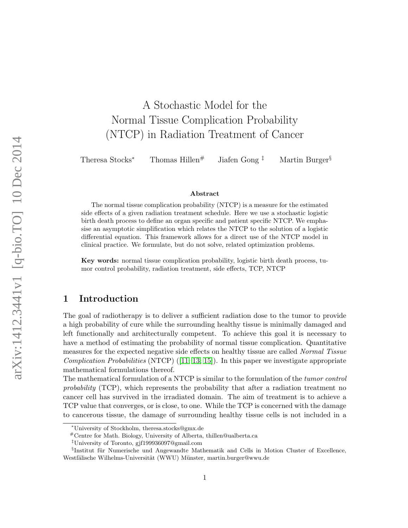# A Stochastic Model for the Normal Tissue Complication Probability (NTCP) in Radiation Treatment of Cancer

Theresa Stocks<sup>∗</sup> Thomas Hillen<sup>#</sup> Jiafen Gong<sup>‡</sup> Martin Burger<sup>§</sup>

#### Abstract

The normal tissue complication probability (NTCP) is a measure for the estimated side effects of a given radiation treatment schedule. Here we use a stochastic logistic birth death process to define an organ specific and patient specific NTCP. We emphasise an asymptotic simplification which relates the NTCP to the solution of a logistic differential equation. This framework allows for a direct use of the NTCP model in clinical practice. We formulate, but do not solve, related optimization problems.

Key words: normal tissue complication probability, logistic birth death process, tumor control probability, radiation treatment, side effects, TCP, NTCP

# 1 Introduction

The goal of radiotherapy is to deliver a sufficient radiation dose to the tumor to provide a high probability of cure while the surrounding healthy tissue is minimally damaged and left functionally and architecturally competent. To achieve this goal it is necessary to have a method of estimating the probability of normal tissue complication. Quantitative measures for the expected negative side effects on healthy tissue are called Normal Tissue Complication Probabilities  $(NTCP)$  ([\[11,](#page-21-0) [13,](#page-21-1) [15\]](#page-21-2)). In this paper we investigate appropriate mathematical formulations thereof.

The mathematical formulation of a NTCP is similar to the formulation of the tumor control probability (TCP), which represents the probability that after a radiation treatment no cancer cell has survived in the irradiated domain. The aim of treatment is to achieve a TCP value that converges, or is close, to one. While the TCP is concerned with the damage to cancerous tissue, the damage of surrounding healthy tissue cells is not included in a

<sup>∗</sup>University of Stockholm, theresa.stocks@gmx.de

<sup>#</sup>Centre for Math. Biology, University of Alberta, thillen@ualberta.ca

<sup>‡</sup>University of Toronto, gjf199936097@gmail.com

 $\S$ Institut für Numerische und Angewandte Mathematik and Cells in Motion Cluster of Excellence, Westfälische Wilhelms-Universität (WWU) Münster, martin.burger@wwu.de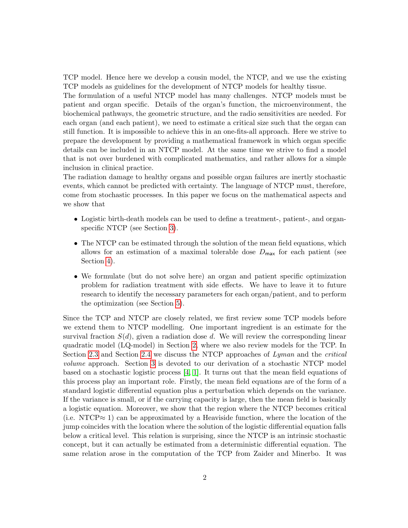TCP model. Hence here we develop a cousin model, the NTCP, and we use the existing TCP models as guidelines for the development of NTCP models for healthy tissue.

The formulation of a useful NTCP model has many challenges. NTCP models must be patient and organ specific. Details of the organ's function, the microenvironment, the biochemical pathways, the geometric structure, and the radio sensitivities are needed. For each organ (and each patient), we need to estimate a critical size such that the organ can still function. It is impossible to achieve this in an one-fits-all approach. Here we strive to prepare the development by providing a mathematical framework in which organ specific details can be included in an NTCP model. At the same time we strive to find a model that is not over burdened with complicated mathematics, and rather allows for a simple inclusion in clinical practice.

The radiation damage to healthy organs and possible organ failures are inertly stochastic events, which cannot be predicted with certainty. The language of NTCP must, therefore, come from stochastic processes. In this paper we focus on the mathematical aspects and we show that

- Logistic birth-death models can be used to define a treatment-, patient-, and organspecific NTCP (see Section [3\)](#page-9-0).
- The NTCP can be estimated through the solution of the mean field equations, which allows for an estimation of a maximal tolerable dose  $D_{\text{max}}$  for each patient (see Section [4\)](#page-17-0).
- We formulate (but do not solve here) an organ and patient specific optimization problem for radiation treatment with side effects. We have to leave it to future research to identify the necessary parameters for each organ/patient, and to perform the optimization (see Section [5\)](#page-18-0).

Since the TCP and NTCP are closely related, we first review some TCP models before we extend them to NTCP modelling. One important ingredient is an estimate for the survival fraction  $S(d)$ , given a radiation dose d. We will review the corresponding linear quadratic model (LQ-model) in Section [2,](#page-2-0) where we also review models for the TCP. In Section [2.3](#page-5-0) and Section [2.4](#page-7-0) we discuss the NTCP approaches of Lyman and the critical volume approach. Section [3](#page-9-0) is devoted to our derivation of a stochastic NTCP model based on a stochastic logistic process [\[4,](#page-20-0) [1\]](#page-20-1). It turns out that the mean field equations of this process play an important role. Firstly, the mean field equations are of the form of a standard logistic differential equation plus a perturbation which depends on the variance. If the variance is small, or if the carrying capacity is large, then the mean field is basically a logistic equation. Moreover, we show that the region where the NTCP becomes critical (i.e. NTCP $\approx$  1) can be approximated by a Heaviside function, where the location of the jump coincides with the location where the solution of the logistic differential equation falls below a critical level. This relation is surprising, since the NTCP is an intrinsic stochastic concept, but it can actually be estimated from a deterministic differential equation. The same relation arose in the computation of the TCP from Zaider and Minerbo. It was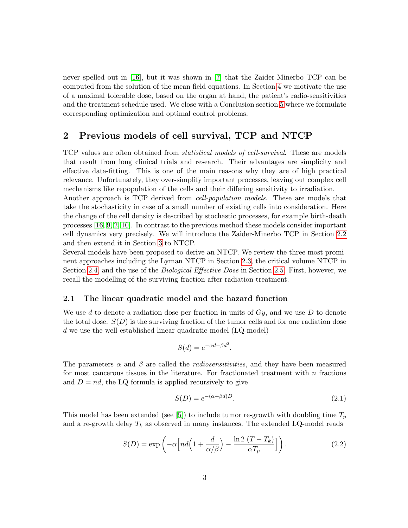never spelled out in [\[16\]](#page-21-3), but it was shown in [\[7\]](#page-21-4) that the Zaider-Minerbo TCP can be computed from the solution of the mean field equations. In Section [4](#page-17-0) we motivate the use of a maximal tolerable dose, based on the organ at hand, the patient's radio-sensitivities and the treatment schedule used. We close with a Conclusion section [5](#page-18-0) where we formulate corresponding optimization and optimal control problems.

# <span id="page-2-0"></span>2 Previous models of cell survival, TCP and NTCP

TCP values are often obtained from statistical models of cell-survival. These are models that result from long clinical trials and research. Their advantages are simplicity and effective data-fitting. This is one of the main reasons why they are of high practical relevance. Unfortunately, they over-simplify important processes, leaving out complex cell mechanisms like repopulation of the cells and their differing sensitivity to irradiation.

Another approach is TCP derived from cell-population models. These are models that take the stochasticity in case of a small number of existing cells into consideration. Here the change of the cell density is described by stochastic processes, for example birth-death processes [\[16,](#page-21-3) [9,](#page-21-5) [2,](#page-20-2) [10\]](#page-21-6). In contrast to the previous method these models consider important cell dynamics very precisely. We will introduce the Zaider-Minerbo TCP in Section [2.2](#page-4-0) and then extend it in Section [3](#page-9-0) to NTCP.

Several models have been proposed to derive an NTCP. We review the three most prominent approaches including the Lyman NTCP in Section [2.3,](#page-5-0) the critical volume NTCP in Section [2.4,](#page-7-0) and the use of the Biological Effective Dose in Section [2.5.](#page-9-1) First, however, we recall the modelling of the surviving fraction after radiation treatment.

### 2.1 The linear quadratic model and the hazard function

We use d to denote a radiation dose per fraction in units of  $G_y$ , and we use D to denote the total dose.  $S(D)$  is the surviving fraction of the tumor cells and for one radiation dose d we use the well established linear quadratic model (LQ-model)

$$
S(d) = e^{-\alpha d - \beta d^2}.
$$

The parameters  $\alpha$  and  $\beta$  are called the *radiosensitivities*, and they have been measured for most cancerous tissues in the literature. For fractionated treatment with  $n$  fractions and  $D = nd$ , the LQ formula is applied recursively to give

$$
S(D) = e^{-(\alpha + \beta d)D}.\tag{2.1}
$$

This model has been extended (see [\[5\]](#page-20-3)) to include tumor re-growth with doubling time  $T_p$ and a re-growth delay  $T_k$  as observed in many instances. The extended LQ-model reads

<span id="page-2-1"></span>
$$
S(D) = \exp\left(-\alpha \left[nd\left(1 + \frac{d}{\alpha/\beta}\right) - \frac{\ln 2\left(T - T_k\right)}{\alpha T_p}\right]\right). \tag{2.2}
$$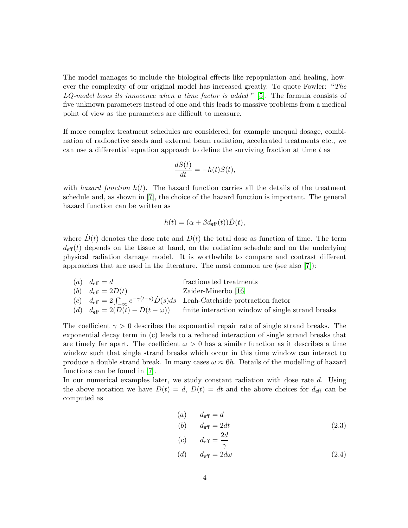The model manages to include the biological effects like repopulation and healing, however the complexity of our original model has increased greatly. To quote Fowler: "The  $LQ$ -model loses its innocence when a time factor is added " [\[5\]](#page-20-3). The formula consists of five unknown parameters instead of one and this leads to massive problems from a medical point of view as the parameters are difficult to measure.

If more complex treatment schedules are considered, for example unequal dosage, combination of radioactive seeds and external beam radiation, accelerated treatments etc., we can use a differential equation approach to define the surviving fraction at time  $t$  as

$$
\frac{dS(t)}{dt} = -h(t)S(t),
$$

with hazard function  $h(t)$ . The hazard function carries all the details of the treatment schedule and, as shown in [\[7\]](#page-21-4), the choice of the hazard function is important. The general hazard function can be written as

$$
h(t) = (\alpha + \beta d_{\text{eff}}(t))\dot{D}(t),
$$

where  $\dot{D}(t)$  denotes the dose rate and  $D(t)$  the total dose as function of time. The term  $d_{\text{eff}}(t)$  depends on the tissue at hand, on the radiation schedule and on the underlying physical radiation damage model. It is worthwhile to compare and contrast different approaches that are used in the literature. The most common are (see also [\[7\]](#page-21-4)):

(a)  $d_{\text{eff}} = d$  fractionated treatments (b)  $d_{\text{eff}} = 2D(t)$  Zaider-Minerbo [\[16\]](#page-21-3) (c)  $d_{\text{eff}} = 2 \int_{-\infty}^{t} e^{-\gamma(t-s)} \dot{D}(s) ds$  Leah-Catchside protraction factor (d)  $d_{\text{eff}} = 2(D(t) - D(t - \omega))$  finite interaction window of single strand breaks

The coefficient  $\gamma > 0$  describes the exponential repair rate of single strand breaks. The exponential decay term in (c) leads to a reduced interaction of single strand breaks that are timely far apart. The coefficient  $\omega > 0$  has a similar function as it describes a time window such that single strand breaks which occur in this time window can interact to produce a double strand break. In many cases  $\omega \approx 6h$ . Details of the modelling of hazard functions can be found in [\[7\]](#page-21-4).

In our numerical examples later, we study constant radiation with dose rate d. Using the above notation we have  $D(t) = d$ ,  $D(t) = dt$  and the above choices for  $d_{\text{eff}}$  can be computed as

<span id="page-3-0"></span>
$$
\begin{array}{ll}\n(a) & d_{\text{eff}} = d \\
(b) & d_{\text{eff}} = 2dt \\
 & 2d\n\end{array}\n\tag{2.3}
$$

$$
\begin{array}{ll}\n\text{(c)} & d_{\text{eff}} = \frac{2a}{\gamma} \\
\text{(d)} & d_{\text{eff}} = 2d\omega\n\end{array}\n\tag{2.4}
$$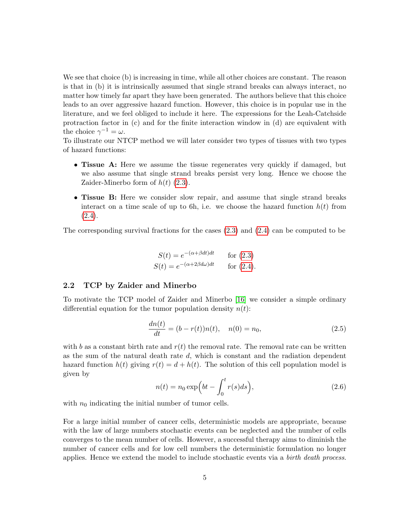We see that choice (b) is increasing in time, while all other choices are constant. The reason is that in (b) it is intrinsically assumed that single strand breaks can always interact, no matter how timely far apart they have been generated. The authors believe that this choice leads to an over aggressive hazard function. However, this choice is in popular use in the literature, and we feel obliged to include it here. The expressions for the Leah-Catchside protraction factor in (c) and for the finite interaction window in (d) are equivalent with the choice  $\gamma^{-1} = \omega$ .

To illustrate our NTCP method we will later consider two types of tissues with two types of hazard functions:

- Tissue A: Here we assume the tissue regenerates very quickly if damaged, but we also assume that single strand breaks persist very long. Hence we choose the Zaider-Minerbo form of  $h(t)$  [\(2.3\)](#page-3-0).
- Tissue B: Here we consider slow repair, and assume that single strand breaks interact on a time scale of up to 6h, i.e. we choose the hazard function  $h(t)$  from  $(2.4).$  $(2.4).$

The corresponding survival fractions for the cases [\(2.3\)](#page-3-0) and [\(2.4\)](#page-3-0) can be computed to be

$$
S(t) = e^{-(\alpha + \beta dt)dt} \qquad \text{for (2.3)}
$$
  

$$
S(t) = e^{-(\alpha + 2\beta d\omega)dt} \qquad \text{for (2.4)}.
$$

### <span id="page-4-0"></span>2.2 TCP by Zaider and Minerbo

To motivate the TCP model of Zaider and Minerbo [\[16\]](#page-21-3) we consider a simple ordinary differential equation for the tumor population density  $n(t)$ :

<span id="page-4-1"></span>
$$
\frac{dn(t)}{dt} = (b - r(t))n(t), \quad n(0) = n_0,
$$
\n(2.5)

with b as a constant birth rate and  $r(t)$  the removal rate. The removal rate can be written as the sum of the natural death rate  $d$ , which is constant and the radiation dependent hazard function  $h(t)$  giving  $r(t) = d + h(t)$ . The solution of this cell population model is given by

<span id="page-4-2"></span>
$$
n(t) = n_0 \exp\left(bt - \int_0^t r(s)ds\right),\tag{2.6}
$$

with  $n_0$  indicating the initial number of tumor cells.

For a large initial number of cancer cells, deterministic models are appropriate, because with the law of large numbers stochastic events can be neglected and the number of cells converges to the mean number of cells. However, a successful therapy aims to diminish the number of cancer cells and for low cell numbers the deterministic formulation no longer applies. Hence we extend the model to include stochastic events via a birth death process.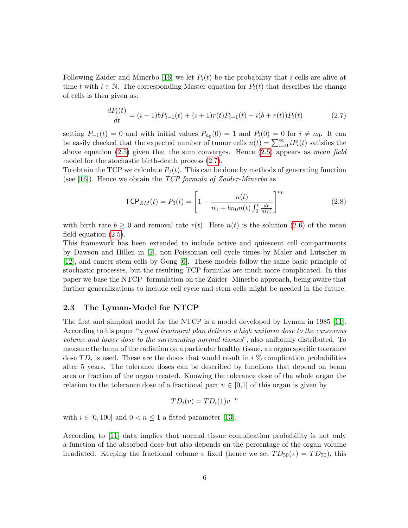Following Zaider and Minerbo [\[16\]](#page-21-3) we let  $P_i(t)$  be the probability that i cells are alive at time t with  $i \in \mathbb{N}$ . The corresponding Master equation for  $P_i(t)$  that describes the change of cells is then given as:

<span id="page-5-1"></span>
$$
\frac{dP_i(t)}{dt} = (i-1)bP_{i-1}(t) + (i+1)r(t)P_{i+1}(t) - i(b+r(t))P_i(t)
$$
\n(2.7)

setting  $P_{-1}(t) = 0$  and with initial values  $P_{n_0}(0) = 1$  and  $P_i(0) = 0$  for  $i \neq n_0$ . It can be easily checked that the expected number of tumor cells  $n(t) = \sum_{i=0}^{\infty} i P_i(t)$  satisfies the above equation  $(2.5)$  given that the sum converges. Hence  $(2.5)$  appears as mean field model for the stochastic birth-death process [\(2.7\)](#page-5-1).

To obtain the TCP we calculate  $P_0(t)$ . This can be done by methods of generating function (see [\[16\]](#page-21-3)). Hence we obtain the  $TCP$  formula of Zaider-Minerbo as

<span id="page-5-2"></span>
$$
\mathsf{TCP}_{ZM}(t) = P_0(t) = \left[1 - \frac{n(t)}{n_0 + bn_0 n(t) \int_0^t \frac{dr}{n(r)}}\right]^{n_0}
$$
\n(2.8)

with birth rate  $b \ge 0$  and removal rate  $r(t)$ . Here  $n(t)$  is the solution [\(2.6\)](#page-4-2) of the mean field equation [\(2.5\)](#page-4-1).

This framework has been extended to include active and quiescent cell compartments by Dawson and Hillen in [\[2\]](#page-20-2), non-Poissonian cell cycle times by Maler and Lutscher in [\[12\]](#page-21-7), and cancer stem cells by Gong [\[6\]](#page-21-8). These models follow the same basic principle of stochastic processes, but the resulting TCP formulas are much more complicated. In this paper we base the NTCP- formulation on the Zaider- Minerbo approach, being aware that further generalizations to include cell cycle and stem cells might be needed in the future.

### <span id="page-5-0"></span>2.3 The Lyman-Model for NTCP

The first and simplest model for the NTCP is a model developed by Lyman in 1985 [\[11\]](#page-21-0). According to his paper "a good treatment plan delivers a high uniform dose to the cancerous volume and lower dose to the surrounding normal tissues", also uniformly distributed. To measure the harm of the radiation on a particular healthy tissue, an organ specific tolerance dose  $TD_i$  is used. These are the doses that would result in i % complication probabilities after 5 years. The tolerance doses can be described by functions that depend on beam area or fraction of the organ treated. Knowing the tolerance dose of the whole organ the relation to the tolerance dose of a fractional part  $v \in [0,1]$  of this organ is given by

$$
TD_i(v) = TD_i(1)v^{-n}
$$

with  $i \in [0, 100]$  and  $0 < n \leq 1$  a fitted parameter [\[13\]](#page-21-1).

According to [\[11\]](#page-21-0) data implies that normal tissue complication probability is not only a function of the absorbed dose but also depends on the percentage of the organ volume irradiated. Keeping the fractional volume v fixed (hence we set  $TD_{50}(v) = TD_{50}$ ), this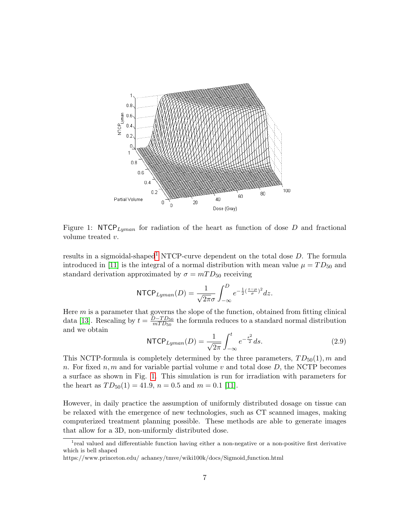

<span id="page-6-1"></span>Figure 1: NTCP<sub>Lyman</sub> for radiation of the heart as function of dose D and fractional volume treated v.

results in a sigmoidal-shaped<sup>[1](#page-6-0)</sup> NTCP-curve dependent on the total dose  $D$ . The formula introduced in [\[11\]](#page-21-0) is the integral of a normal distribution with mean value  $\mu = TD_{50}$  and standard derivation approximated by  $\sigma = mTD_{50}$  receiving

$$
\text{NTCP}_{Lyman}(D) = \frac{1}{\sqrt{2\pi}\sigma} \int_{-\infty}^{D} e^{-\frac{1}{2}(\frac{z-\mu}{\sigma})^2} dz.
$$

Here  $m$  is a parameter that governs the slope of the function, obtained from fitting clinical data [\[13\]](#page-21-1). Rescaling by  $t = \frac{D - TD_{50}}{m T D_{50}}$  $\frac{D-TD_{50}}{mTD_{50}}$  the formula reduces to a standard normal distribution and we obtain

<span id="page-6-2"></span>
$$
NTCP_{Lyman}(D) = \frac{1}{\sqrt{2\pi}} \int_{-\infty}^{t} e^{-\frac{s^2}{2}} ds.
$$
 (2.9)

This NCTP-formula is completely determined by the three parameters,  $TD_{50}(1)$ , m and n. For fixed n, m and for variable partial volume v and total dose  $D$ , the NCTP becomes a surface as shown in Fig. [1.](#page-6-1) This simulation is run for irradiation with parameters for the heart as  $TD_{50}(1) = 41.9$ ,  $n = 0.5$  and  $m = 0.1$  [\[11\]](#page-21-0).

However, in daily practice the assumption of uniformly distributed dosage on tissue can be relaxed with the emergence of new technologies, such as CT scanned images, making computerized treatment planning possible. These methods are able to generate images that allow for a 3D, non-uniformly distributed dose.

<span id="page-6-0"></span><sup>&</sup>lt;sup>1</sup> real valued and differentiable function having either a non-negative or a non-positive first derivative which is bell shaped

https://www.princeton.edu/ achaney/tmve/wiki100k/docs/Sigmoid function.html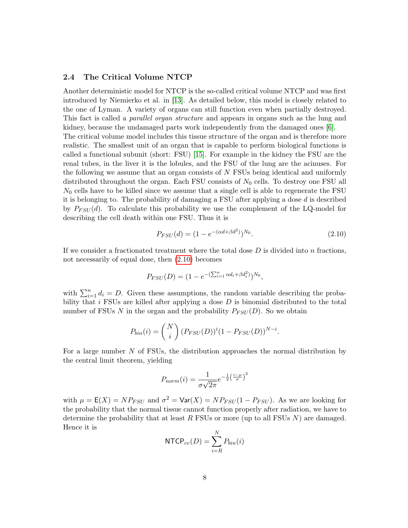### <span id="page-7-0"></span>2.4 The Critical Volume NTCP

Another deterministic model for NTCP is the so-called critical volume NTCP and was first introduced by Niemierko et al. in [\[13\]](#page-21-1). As detailed below, this model is closely related to the one of Lyman. A variety of organs can still function even when partially destroyed. This fact is called a parallel organ structure and appears in organs such as the lung and kidney, because the undamaged parts work independently from the damaged ones [\[6\]](#page-21-8). The critical volume model includes this tissue structure of the organ and is therefore more realistic. The smallest unit of an organ that is capable to perform biological functions is called a functional subunit (short: FSU) [\[15\]](#page-21-2). For example in the kidney the FSU are the renal tubes, in the liver it is the lobules, and the FSU of the lung are the acinuses. For the following we assume that an organ consists of N FSUs being identical and uniformly distributed throughout the organ. Each FSU consists of  $N_0$  cells. To destroy one FSU all  $N_0$  cells have to be killed since we assume that a single cell is able to regenerate the FSU it is belonging to. The probability of damaging a FSU after applying a dose d is described by  $P_{FSU}(d)$ . To calculate this probability we use the complement of the LQ-model for describing the cell death within one FSU. Thus it is

<span id="page-7-1"></span>
$$
P_{FSU}(d) = (1 - e^{-(\alpha d + \beta d^2)})^{N_0}.
$$
\n(2.10)

If we consider a fractionated treatment where the total dose  $D$  is divided into  $n$  fractions, not necessarily of equal dose, then [\(2.10\)](#page-7-1) becomes

$$
P_{FSU}(D) = (1 - e^{-(\sum_{i=1}^{n} \alpha d_i + \beta d_i^2)})^{N_0},
$$

with  $\sum_{i=1}^{n} d_i = D$ . Given these assumptions, the random variable describing the probability that  $i$  FSUs are killed after applying a dose  $D$  is binomial distributed to the total number of FSUs N in the organ and the probability  $P_{FSU}(D)$ . So we obtain

$$
P_{bin}(i) = {N \choose i} (P_{FSU}(D))^{i} (1 - P_{FSU}(D))^{N-i}.
$$

For a large number N of FSUs, the distribution approaches the normal distribution by the central limit theorem, yielding

$$
P_{norm}(i) = \frac{1}{\sigma\sqrt{2\pi}}e^{-\frac{1}{2}\left(\frac{i-\mu}{\sigma}\right)^2}
$$

with  $\mu = \mathsf{E}(X) = NP_{FSU}$  and  $\sigma^2 = \text{Var}(X) = NP_{FSU}(1 - P_{FSU})$ . As we are looking for the probability that the normal tissue cannot function properly after radiation, we have to determine the probability that at least  $R$  FSUs or more (up to all FSUs  $N$ ) are damaged. Hence it is

$$
NTCP_{cv}(D) = \sum_{i=R}^{N} P_{bin}(i)
$$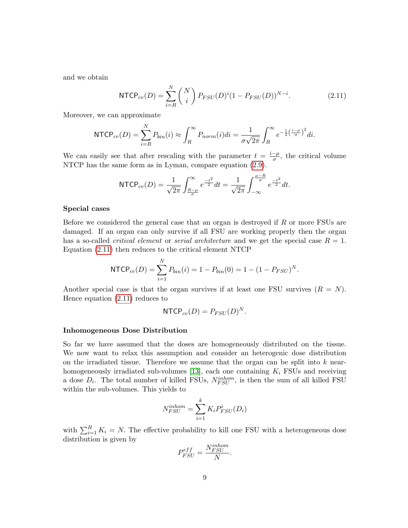and we obtain

<span id="page-8-0"></span>
$$
NTCP_{cv}(D) = \sum_{i=R}^{N} {N \choose i} P_{FSU}(D)^i (1 - P_{FSU}(D))^{N-i}.
$$
 (2.11)

Moreover, we can approximate

$$
\text{NTCP}_{cv}(D) = \sum_{i=R}^{N} P_{bin}(i) \approx \int_{R}^{\infty} P_{norm}(i)di = \frac{1}{\sigma\sqrt{2\pi}} \int_{R}^{\infty} e^{-\frac{1}{2}\left(\frac{i-\mu}{\sigma}\right)^{2}} di.
$$

We can easily see that after rescaling with the parameter  $t = \frac{i-\mu}{\sigma}$  $\frac{-\mu}{\sigma}$ , the critical volume NTCP has the same form as in Lyman, compare equation [\(2.9\)](#page-6-2).

$$
\text{NTCP}_{cv}(D) = \frac{1}{\sqrt{2\pi}} \int_{\frac{R-\mu}{\sigma}}^{\infty} e^{\frac{-t^2}{2}} dt = \frac{1}{\sqrt{2\pi}} \int_{-\infty}^{\frac{\mu-R}{\sigma}} e^{\frac{-t^2}{2}} dt.
$$

#### Special cases

Before we considered the general case that an organ is destroyed if R or more FSUs are damaged. If an organ can only survive if all FSU are working properly then the organ has a so-called *critical element* or *serial architecture* and we get the special case  $R = 1$ . Equation [\(2.11\)](#page-8-0) then reduces to the critical element NTCP

$$
NTCP_{ce}(D) = \sum_{i=1}^{N} P_{bin}(i) = 1 - P_{bin}(0) = 1 - (1 - P_{FSU})^{N}.
$$

Another special case is that the organ survives if at least one FSU survives  $(R = N)$ . Hence equation [\(2.11\)](#page-8-0) reduces to

$$
\mathsf{NTCP}_{cv}(D) = P_{FSU}(D)^N.
$$

#### Inhomogeneous Dose Distribution

So far we have assumed that the doses are homogeneously distributed on the tissue. We now want to relax this assumption and consider an heterogenic dose distribution on the irradiated tissue. Therefore we assume that the organ can be split into  $k$  near-homogeneously irradiated sub-volumes [\[13\]](#page-21-1), each one containing  $K_i$  FSUs and receiving a dose  $D_i$ . The total number of killed FSUs,  $N_{FSU}^{inhom}$ , is then the sum of all killed FSU within the sub-volumes. This yields to

$$
N_{FSU}^{inhom} = \sum_{i=1}^{k} K_i P_{FSU}^i(D_i)
$$

with  $\sum_{i=1}^{R} K_i = N$ . The effective probability to kill one FSU with a heterogeneous dose distribution is given by

$$
P_{FSU}^{eff} = \frac{N_{FSU}^{inhom}}{N}.
$$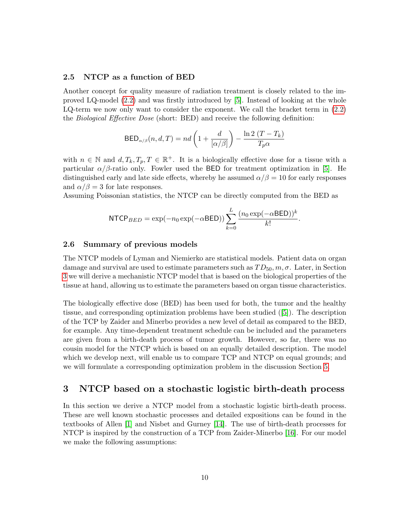### <span id="page-9-1"></span>2.5 NTCP as a function of BED

Another concept for quality measure of radiation treatment is closely related to the improved LQ-model [\(2.2\)](#page-2-1) and was firstly introduced by [\[5\]](#page-20-3). Instead of looking at the whole LQ-term we now only want to consider the exponent. We call the bracket term in [\(2.2\)](#page-2-1) the Biological Effective Dose (short: BED) and receive the following definition:

$$
\mathsf{BED}_{\alpha/\beta}(n, d, T) = nd\left(1 + \frac{d}{[\alpha/\beta]}\right) - \frac{\ln 2 (T - T_k)}{T_p \alpha}
$$

with  $n \in \mathbb{N}$  and  $d, T_k, T_p, T \in \mathbb{R}^+$ . It is a biologically effective dose for a tissue with a particular  $\alpha/\beta$ -ratio only. Fowler used the BED for treatment optimization in [\[5\]](#page-20-3). He distinguished early and late side effects, whereby he assumed  $\alpha/\beta = 10$  for early responses and  $\alpha/\beta = 3$  for late responses.

Assuming Poissonian statistics, the NTCP can be directly computed from the BED as

$$
\text{NTCP}_{BED} = \exp(-n_0 \exp(-\alpha \text{BED})) \sum_{k=0}^{L} \frac{(n_0 \exp(-\alpha \text{BED}))^k}{k!}.
$$

#### 2.6 Summary of previous models

The NTCP models of Lyman and Niemierko are statistical models. Patient data on organ damage and survival are used to estimate parameters such as  $TD_{50}$ ,  $m, \sigma$ . Later, in Section [3](#page-9-0) we will derive a mechanistic NTCP model that is based on the biological properties of the tissue at hand, allowing us to estimate the parameters based on organ tissue characteristics.

The biologically effective dose (BED) has been used for both, the tumor and the healthy tissue, and corresponding optimization problems have been studied ([\[5\]](#page-20-3)). The description of the TCP by Zaider and Minerbo provides a new level of detail as compared to the BED, for example. Any time-dependent treatment schedule can be included and the parameters are given from a birth-death process of tumor growth. However, so far, there was no cousin model for the NTCP which is based on an equally detailed description. The model which we develop next, will enable us to compare TCP and NTCP on equal grounds; and we will formulate a corresponding optimization problem in the discussion Section [5.](#page-18-0)

# <span id="page-9-0"></span>3 NTCP based on a stochastic logistic birth-death process

In this section we derive a NTCP model from a stochastic logistic birth-death process. These are well known stochastic processes and detailed expositions can be found in the textbooks of Allen [\[1\]](#page-20-1) and Nisbet and Gurney [\[14\]](#page-21-9). The use of birth-death processes for NTCP is inspired by the construction of a TCP from Zaider-Minerbo [\[16\]](#page-21-3). For our model we make the following assumptions: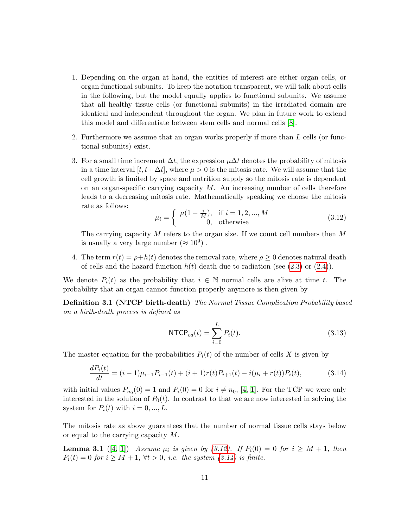- 1. Depending on the organ at hand, the entities of interest are either organ cells, or organ functional subunits. To keep the notation transparent, we will talk about cells in the following, but the model equally applies to functional subunits. We assume that all healthy tissue cells (or functional subunits) in the irradiated domain are identical and independent throughout the organ. We plan in future work to extend this model and differentiate between stem cells and normal cells [\[8\]](#page-21-10).
- 2. Furthermore we assume that an organ works properly if more than L cells (or functional subunits) exist.
- 3. For a small time increment  $\Delta t$ , the expression  $\mu \Delta t$  denotes the probability of mitosis in a time interval  $[t, t+\Delta t]$ , where  $\mu > 0$  is the mitosis rate. We will assume that the cell growth is limited by space and nutrition supply so the mitosis rate is dependent on an organ-specific carrying capacity  $M$ . An increasing number of cells therefore leads to a decreasing mitosis rate. Mathematically speaking we choose the mitosis rate as follows:

<span id="page-10-0"></span>
$$
\mu_i = \begin{cases} \mu(1 - \frac{i}{M}), & \text{if } i = 1, 2, ..., M \\ 0, & \text{otherwise} \end{cases}
$$
 (3.12)

The carrying capacity  $M$  refers to the organ size. If we count cell numbers then  $M$ is usually a very large number  $(\approx 10^9)$ .

4. The term  $r(t) = \rho + h(t)$  denotes the removal rate, where  $\rho \geq 0$  denotes natural death of cells and the hazard function  $h(t)$  death due to radiation (see [\(2.3\)](#page-3-0) or [\(2.4\)](#page-3-0)).

We denote  $P_i(t)$  as the probability that  $i \in \mathbb{N}$  normal cells are alive at time t. The probability that an organ cannot function properly anymore is then given by

Definition 3.1 (NTCP birth-death) The Normal Tissue Complication Probability based on a birth-death process is defined as

<span id="page-10-3"></span><span id="page-10-2"></span>
$$
NTCP_{bd}(t) = \sum_{i=0}^{L} P_i(t).
$$
 (3.13)

The master equation for the probabilities  $P_i(t)$  of the number of cells X is given by

<span id="page-10-1"></span>
$$
\frac{dP_i(t)}{dt} = (i-1)\mu_{i-1}P_{i-1}(t) + (i+1)r(t)P_{i+1}(t) - i(\mu_i + r(t))P_i(t),
$$
\n(3.14)

with initial values  $P_{n_0}(0) = 1$  and  $P_i(0) = 0$  for  $i \neq n_0$ , [\[4,](#page-20-0) [1\]](#page-20-1). For the TCP we were only interested in the solution of  $P_0(t)$ . In contrast to that we are now interested in solving the system for  $P_i(t)$  with  $i = 0, ..., L$ .

The mitosis rate as above guarantees that the number of normal tissue cells stays below or equal to the carrying capacity M.

**Lemma 3.1** ([\[4,](#page-20-0) [1\]](#page-20-1)) Assume  $\mu_i$  is given by [\(3.12\)](#page-10-0). If  $P_i(0) = 0$  for  $i \geq M+1$ , then  $P_i(t) = 0$  for  $i \geq M + 1$ ,  $\forall t > 0$ , *i.e.* the system [\(3.14\)](#page-10-1) is finite.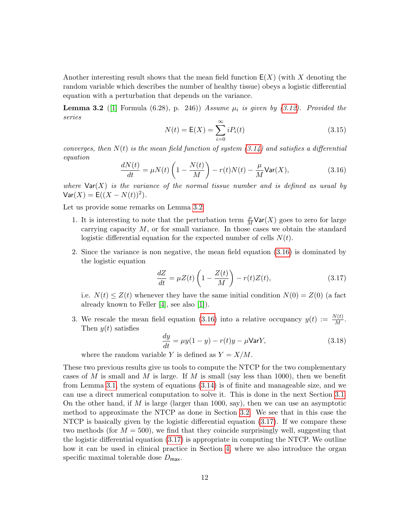Another interesting result shows that the mean field function  $E(X)$  (with X denoting the random variable which describes the number of healthy tissue) obeys a logistic differential equation with a perturbation that depends on the variance.

**Lemma 3.2** ([\[1\]](#page-20-1) Formula (6.28), p. 246)) Assume  $\mu_i$  is given by [\(3.12\)](#page-10-0). Provided the series

<span id="page-11-0"></span>
$$
N(t) = \mathsf{E}(X) = \sum_{i=0}^{\infty} i P_i(t)
$$
\n(3.15)

converges, then  $N(t)$  is the mean field function of system  $(3.14)$  and satisfies a differential equation

<span id="page-11-1"></span>
$$
\frac{dN(t)}{dt} = \mu N(t) \left( 1 - \frac{N(t)}{M} \right) - r(t)N(t) - \frac{\mu}{M} \text{Var}(X),\tag{3.16}
$$

where  $\text{Var}(X)$  is the variance of the normal tissue number and is defined as usual by  $\text{Var}(X) = \mathsf{E}((X - N(t))^2).$ 

Let us provide some remarks on Lemma [3.2:](#page-11-0)

- 1. It is interesting to note that the perturbation term  $\frac{\mu}{M} \text{Var}(X)$  goes to zero for large carrying capacity  $M$ , or for small variance. In those cases we obtain the standard logistic differential equation for the expected number of cells  $N(t)$ .
- 2. Since the variance is non negative, the mean field equation [\(3.16\)](#page-11-1) is dominated by the logistic equation

<span id="page-11-2"></span>
$$
\frac{dZ}{dt} = \mu Z(t) \left( 1 - \frac{Z(t)}{M} \right) - r(t)Z(t),\tag{3.17}
$$

i.e.  $N(t) \leq Z(t)$  whenever they have the same initial condition  $N(0) = Z(0)$  (a fact already known to Feller [\[4\]](#page-20-0), see also [\[1\]](#page-20-1)).

3. We rescale the mean field equation [\(3.16\)](#page-11-1) into a relative occupancy  $y(t) := \frac{N(t)}{M}$ . Then  $y(t)$  satisfies

$$
\frac{dy}{dt} = \mu y (1 - y) - r(t)y - \mu \text{Var} Y,\tag{3.18}
$$

where the random variable Y is defined as  $Y = X/M$ .

These two previous results give us tools to compute the NTCP for the two complementary cases of M is small and M is large. If M is small (say less than 1000), then we benefit from Lemma [3.1,](#page-10-2) the system of equations [\(3.14\)](#page-10-1) is of finite and manageable size, and we can use a direct numerical computation to solve it. This is done in the next Section [3.1.](#page-12-0) On the other hand, if  $M$  is large (larger than 1000, say), then we can use an asymptotic method to approximate the NTCP as done in Section [3.2.](#page-13-0) We see that in this case the NTCP is basically given by the logistic differential equation [\(3.17\)](#page-11-2). If we compare these two methods (for  $M = 500$ ), we find that they coincide surprisingly well, suggesting that the logistic differential equation [\(3.17\)](#page-11-2) is appropriate in computing the NTCP. We outline how it can be used in clinical practice in Section [4,](#page-17-0) where we also introduce the organ specific maximal tolerable dose  $D_{\text{max}}$ .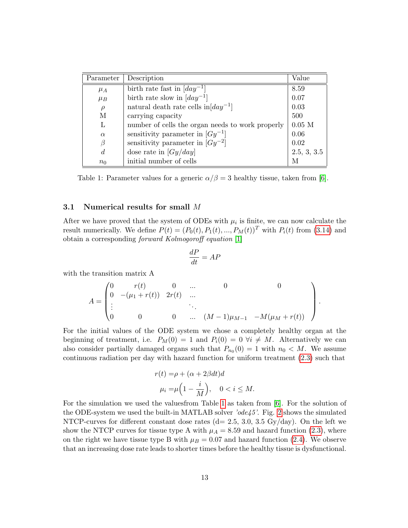| Parameter      | Description                                            | Value       |
|----------------|--------------------------------------------------------|-------------|
| $\mu_A$        | birth rate fast in $\lfloor day^{-1} \rfloor$          | 8.59        |
| $\mu_B$        | birth rate slow in $\left[day^{-1}\right]$             | 0.07        |
| $\rho$         | natural death rate cells in $\lfloor day^{-1} \rfloor$ | 0.03        |
| M              | carrying capacity                                      | 500         |
| L              | number of cells the organ needs to work properly       | $0.05$ M    |
| $\alpha$       | sensitivity parameter in $[Gy^{-1}]$                   | 0.06        |
| β              | sensitivity parameter in $[Gy^{-2}]$                   | 0.02        |
| $\overline{d}$ | dose rate in $[Gy/day]$                                | 2.5, 3, 3.5 |
| $n_0$          | initial number of cells                                | М           |

<span id="page-12-1"></span>Table 1: Parameter values for a generic  $\alpha/\beta = 3$  healthy tissue, taken from [\[6\]](#page-21-8).

### <span id="page-12-0"></span>3.1 Numerical results for small M

After we have proved that the system of ODEs with  $\mu_i$  is finite, we can now calculate the result numerically. We define  $P(t) = (P_0(t), P_1(t), ..., P_M(t))^T$  with  $P_i(t)$  from [\(3.14\)](#page-10-1) and obtain a corresponding forward Kolmogoroff equation [\[1\]](#page-20-1)

$$
\frac{dP}{dt} = AF
$$

with the transition matrix A

$$
A = \begin{pmatrix} 0 & r(t) & 0 & \dots & 0 & 0 \\ 0 & -(\mu_1 + r(t)) & 2r(t) & \dots & & & \\ \vdots & & & \ddots & & \\ 0 & 0 & 0 & \dots & (M-1)\mu_{M-1} & -M(\mu_M + r(t)) \end{pmatrix}.
$$

For the initial values of the ODE system we chose a completely healthy organ at the beginning of treatment, i.e.  $P_M(0) = 1$  and  $P_i(0) = 0 \ \forall i \neq M$ . Alternatively we can also consider partially damaged organs such that  $P_{n_0}(0) = 1$  with  $n_0 < M$ . We assume continuous radiation per day with hazard function for uniform treatment [\(2.3\)](#page-3-0) such that

$$
r(t) = \rho + (\alpha + 2\beta dt)d
$$
  

$$
\mu_i = \mu \left(1 - \frac{i}{M}\right), \quad 0 < i \le M.
$$

For the simulation we used the valuesfrom Table [1](#page-12-1) as taken from [\[6\]](#page-21-8). For the solution of the ODE-system we used the built-in MATLAB solver 'ode45'. Fig. [2](#page-13-1) shows the simulated NTCP-curves for different constant dose rates  $(d= 2.5, 3.0, 3.5 \text{ Gy/day})$ . On the left we show the NTCP curves for tissue type A with  $\mu_A = 8.59$  and hazard function [\(2.3\)](#page-3-0), where on the right we have tissue type B with  $\mu_B = 0.07$  and hazard function [\(2.4\)](#page-3-0). We observe that an increasing dose rate leads to shorter times before the healthy tissue is dysfunctional.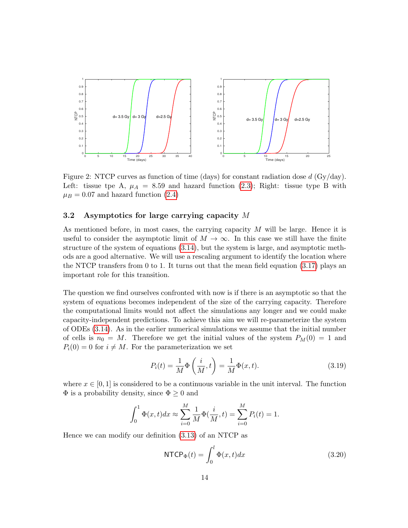

<span id="page-13-1"></span>Figure 2: NTCP curves as function of time (days) for constant radiation dose  $d$  (Gy/day). Left: tissue tpe A,  $\mu_A = 8.59$  and hazard function [\(2.3\)](#page-3-0); Right: tissue type B with  $\mu_B = 0.07$  and hazard function [\(2.4\)](#page-3-0)

### <span id="page-13-0"></span>3.2 Asymptotics for large carrying capacity M

As mentioned before, in most cases, the carrying capacity  $M$  will be large. Hence it is useful to consider the asymptotic limit of  $M \to \infty$ . In this case we still have the finite structure of the system of equations [\(3.14\)](#page-10-1), but the system is large, and asymptotic methods are a good alternative. We will use a rescaling argument to identify the location where the NTCP transfers from 0 to 1. It turns out that the mean field equation  $(3.17)$  plays an important role for this transition.

The question we find ourselves confronted with now is if there is an asymptotic so that the system of equations becomes independent of the size of the carrying capacity. Therefore the computational limits would not affect the simulations any longer and we could make capacity-independent predictions. To achieve this aim we will re-parameterize the system of ODEs [\(3.14\)](#page-10-1). As in the earlier numerical simulations we assume that the initial number of cells is  $n_0 = M$ . Therefore we get the initial values of the system  $P_M(0) = 1$  and  $P_i(0) = 0$  for  $i \neq M$ . For the parameterization we set

<span id="page-13-2"></span>
$$
P_i(t) = \frac{1}{M} \Phi\left(\frac{i}{M}, t\right) = \frac{1}{M} \Phi(x, t).
$$
\n(3.19)

where  $x \in [0, 1]$  is considered to be a continuous variable in the unit interval. The function  $\Phi$  is a probability density, since  $\Phi \geq 0$  and

$$
\int_0^1 \Phi(x, t) dx \approx \sum_{i=0}^M \frac{1}{M} \Phi(\frac{i}{M}, t) = \sum_{i=0}^M P_i(t) = 1.
$$

Hence we can modify our definition [\(3.13\)](#page-10-3) of an NTCP as

$$
NTCP_{\Phi}(t) = \int_0^l \Phi(x, t) dx
$$
\n(3.20)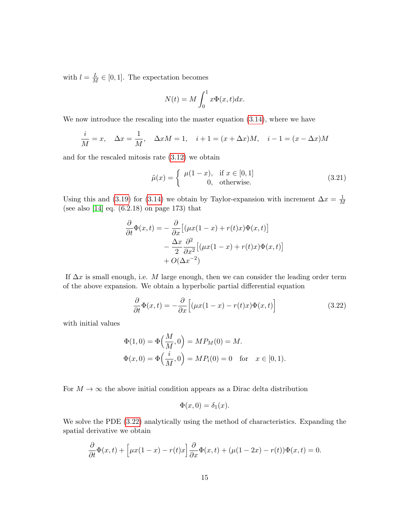with  $l = \frac{L}{M} \in [0, 1]$ . The expectation becomes

$$
N(t) = M \int_0^1 x \Phi(x, t) dx.
$$

We now introduce the rescaling into the master equation  $(3.14)$ , where we have

$$
\frac{i}{M} = x, \quad \Delta x = \frac{1}{M}, \quad \Delta x M = 1, \quad i + 1 = (x + \Delta x)M, \quad i - 1 = (x - \Delta x)M
$$

and for the rescaled mitosis rate [\(3.12\)](#page-10-0) we obtain

$$
\tilde{\mu}(x) = \begin{cases}\n\mu(1-x), & \text{if } x \in [0,1] \\
0, & \text{otherwise.} \n\end{cases}
$$
\n(3.21)

Using this and [\(3.19\)](#page-13-2) for [\(3.14\)](#page-10-1) we obtain by Taylor-expansion with increment  $\Delta x = \frac{1}{\lambda}$ M (see also [\[14\]](#page-21-9) eq. (6.2.18) on page 173) that

$$
\frac{\partial}{\partial t}\Phi(x,t) = -\frac{\partial}{\partial x} \left[ (\mu x(1-x) + r(t)x)\Phi(x,t) \right] \n- \frac{\Delta x}{2} \frac{\partial^2}{\partial x^2} \left[ (\mu x(1-x) + r(t)x)\Phi(x,t) \right] \n+ O(\Delta x^{-2})
$$

If  $\Delta x$  is small enough, i.e. M large enough, then we can consider the leading order term of the above expansion. We obtain a hyperbolic partial differential equation

<span id="page-14-0"></span>
$$
\frac{\partial}{\partial t}\Phi(x,t) = -\frac{\partial}{\partial x}\Big[ (\mu x(1-x) - r(t)x)\Phi(x,t) \Big]
$$
(3.22)

with initial values

$$
\Phi(1,0) = \Phi\left(\frac{M}{M},0\right) = MP_M(0) = M.
$$
  

$$
\Phi(x,0) = \Phi\left(\frac{i}{M},0\right) = MP_i(0) = 0 \text{ for } x \in [0,1).
$$

For  $M \to \infty$  the above initial condition appears as a Dirac delta distribution

$$
\Phi(x,0) = \delta_1(x).
$$

We solve the PDE [\(3.22\)](#page-14-0) analytically using the method of characteristics. Expanding the spatial derivative we obtain

$$
\frac{\partial}{\partial t}\Phi(x,t) + \left[\mu x(1-x) - r(t)x\right]\frac{\partial}{\partial x}\Phi(x,t) + (\mu(1-2x) - r(t))\Phi(x,t) = 0.
$$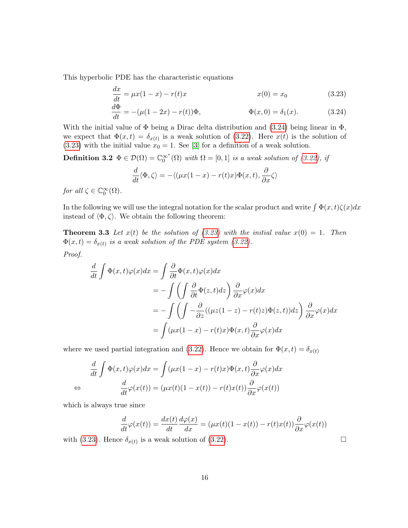This hyperbolic PDE has the characteristic equations

<span id="page-15-1"></span>
$$
\frac{dx}{dt} = \mu x (1 - x) - r(t)x \qquad x(0) = x_0 \qquad (3.23)
$$

$$
\frac{d\Phi}{dt} = -(\mu(1 - 2x) - r(t))\Phi, \qquad \Phi(x, 0) = \delta_1(x). \qquad (3.24)
$$

With the initial value of  $\Phi$  being a Dirac delta distribution and [\(3.24\)](#page-15-0) being linear in  $\Phi$ , we expect that  $\Phi(x,t) = \delta_{x(t)}$  is a weak solution of [\(3.22\)](#page-14-0). Here  $x(t)$  is the solution of [\(3.23\)](#page-15-1) with the initial value  $x_0 = 1$ . See [\[3\]](#page-20-4) for a definition of a weak solution.

**Definition 3.2**  $\Phi \in \mathcal{D}(\Omega) = \mathbb{C}_0^{\infty^*}(\Omega)$  with  $\Omega = [0, 1]$  is a weak solution of [\(3.22\)](#page-14-0), if

<span id="page-15-2"></span><span id="page-15-0"></span>
$$
\frac{d}{dt}\langle \Phi, \zeta \rangle = -\langle (\mu x(1-x) - r(t)x)\Phi(x,t), \frac{\partial}{\partial x}\zeta \rangle
$$

for all  $\zeta \in \mathbb{C}_0^{\infty}(\Omega)$ .

In the following we will use the integral notation for the scalar product and write  $\int \Phi(x, t) \zeta(x) dx$ instead of  $\langle \Phi, \zeta \rangle$ . We obtain the following theorem:

**Theorem 3.3** Let  $x(t)$  be the solution of [\(3.23\)](#page-15-1) with the initial value  $x(0) = 1$ . Then  $\Phi(x,t) = \delta_{x(t)}$  is a weak solution of the PDE system [\(3.22\)](#page-14-0).

Proof.

$$
\frac{d}{dt} \int \Phi(x,t)\varphi(x)dx = \int \frac{\partial}{\partial t} \Phi(x,t)\varphi(x)dx
$$
  
\n
$$
= -\int \left( \int \frac{\partial}{\partial t} \Phi(z,t)dz \right) \frac{\partial}{\partial x} \varphi(x)dx
$$
  
\n
$$
= -\int \left( \int -\frac{\partial}{\partial z} ((\mu z(1-z) - r(t)z)\Phi(z,t))dz \right) \frac{\partial}{\partial x} \varphi(x)dx
$$
  
\n
$$
= \int (\mu x(1-x) - r(t)x)\Phi(x,t)\frac{\partial}{\partial x} \varphi(x)dx
$$

where we used partial integration and [\(3.22\)](#page-14-0). Hence we obtain for  $\Phi(x, t) = \delta_{x(t)}$ 

$$
\frac{d}{dt} \int \Phi(x,t)\varphi(x)dx = \int (\mu x(1-x) - r(t)x)\Phi(x,t)\frac{\partial}{\partial x}\varphi(x)dx
$$

$$
\Leftrightarrow \frac{d}{dt}\varphi(x(t)) = (\mu x(t)(1-x(t)) - r(t)x(t))\frac{\partial}{\partial x}\varphi(x(t))
$$

which is always true since

$$
\frac{d}{dt}\varphi(x(t)) = \frac{dx(t)}{dt}\frac{d\varphi(x)}{dx} = (\mu x(t)(1 - x(t)) - r(t)x(t))\frac{\partial}{\partial x}\varphi(x(t))
$$

with [\(3.23\)](#page-15-1). Hence  $\delta_{x(t)}$  is a weak solution of [\(3.22\)](#page-14-0).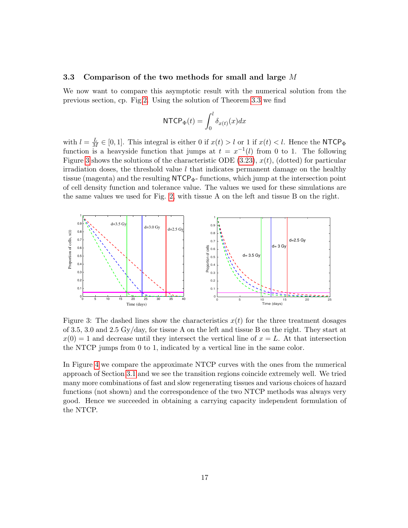#### 3.3 Comparison of the two methods for small and large M

We now want to compare this asymptotic result with the numerical solution from the previous section, cp. Fig[.2.](#page-13-1) Using the solution of Theorem [3.3](#page-15-2) we find

$$
\mathsf{NTCP}_{\Phi}(t) = \int_0^l \delta_{x(t)}(x) dx
$$

with  $l = \frac{L}{M} \in [0, 1]$ . This integral is either 0 if  $x(t) > l$  or 1 if  $x(t) < l$ . Hence the NTCP<sub> $\Phi$ </sub> function is a heavyside function that jumps at  $t = x^{-1}(l)$  from 0 to 1. The following Figure [3](#page-16-0) shows the solutions of the characteristic ODE [\(3.23\)](#page-15-1),  $x(t)$ , (dotted) for particular irradiation doses, the threshold value  $l$  that indicates permanent damage on the healthy tissue (magenta) and the resulting  $\text{NTCP}_{\Phi}$ - functions, which jump at the intersection point of cell density function and tolerance value. The values we used for these simulations are the same values we used for Fig. [2,](#page-13-1) with tissue A on the left and tissue B on the right.



<span id="page-16-0"></span>Figure 3: The dashed lines show the characteristics  $x(t)$  for the three treatment dosages of 3.5, 3.0 and 2.5 Gy/day, for tissue A on the left and tissue B on the right. They start at  $x(0) = 1$  and decrease until they intersect the vertical line of  $x = L$ . At that intersection the NTCP jumps from 0 to 1, indicated by a vertical line in the same color.

In Figure [4](#page-17-1) we compare the approximate NTCP curves with the ones from the numerical approach of Section [3.1](#page-12-0) and we see the transition regions coincide extremely well. We tried many more combinations of fast and slow regenerating tissues and various choices of hazard functions (not shown) and the correspondence of the two NTCP methods was always very good. Hence we succeeded in obtaining a carrying capacity independent formulation of the NTCP.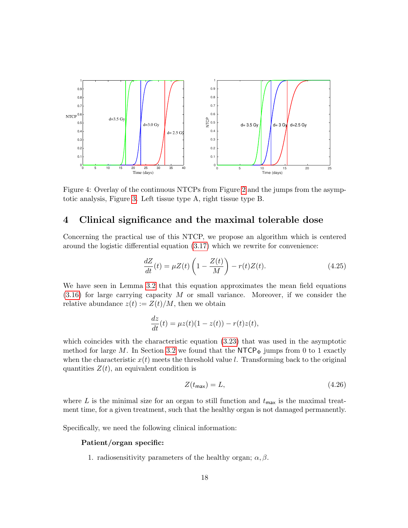

<span id="page-17-1"></span>Figure 4: Overlay of the continuous NTCPs from Figure [2](#page-13-1) and the jumps from the asymptotic analysis, Figure [3.](#page-16-0) Left tissue type A, right tissue type B.

# <span id="page-17-0"></span>4 Clinical significance and the maximal tolerable dose

Concerning the practical use of this NTCP, we propose an algorithm which is centered around the logistic differential equation [\(3.17\)](#page-11-2) which we rewrite for convenience:

<span id="page-17-2"></span>
$$
\frac{dZ}{dt}(t) = \mu Z(t) \left( 1 - \frac{Z(t)}{M} \right) - r(t)Z(t). \tag{4.25}
$$

We have seen in Lemma [3.2](#page-11-0) that this equation approximates the mean field equations [\(3.16\)](#page-11-1) for large carrying capacity M or small variance. Moreover, if we consider the relative abundance  $z(t) := Z(t)/M$ , then we obtain

$$
\frac{dz}{dt}(t) = \mu z(t)(1 - z(t)) - r(t)z(t),
$$

which coincides with the characteristic equation  $(3.23)$  that was used in the asymptotic method for large M. In Section [3.2](#page-13-0) we found that the NTCP $_{\Phi}$  jumps from 0 to 1 exactly when the characteristic  $x(t)$  meets the threshold value l. Transforming back to the original quantities  $Z(t)$ , an equivalent condition is

$$
Z(t_{\text{max}}) = L,\tag{4.26}
$$

where L is the minimal size for an organ to still function and  $t_{\text{max}}$  is the maximal treatment time, for a given treatment, such that the healthy organ is not damaged permanently.

Specifically, we need the following clinical information:

### Patient/organ specific:

1. radiosensitivity parameters of the healthy organ;  $\alpha, \beta$ .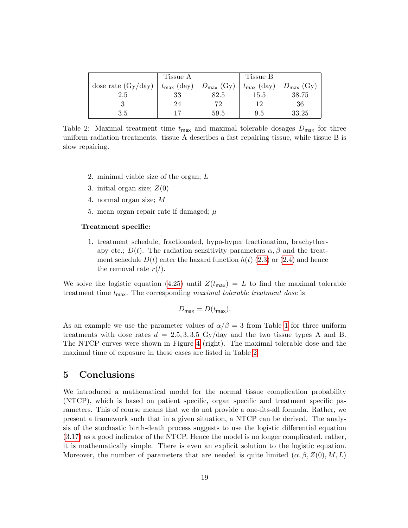|                      | Tissue A               |                       | Tissue B               |                       |
|----------------------|------------------------|-----------------------|------------------------|-----------------------|
| dose rate $(Gy/day)$ | $t_{\text{max}}$ (day) | $D_{\text{max}}$ (Gy) | $t_{\text{max}}$ (day) | $D_{\text{max}}$ (Gy) |
| 2.5                  | 33                     | $82.5\,$              | 15.5                   | 38.75                 |
|                      | 24                     | 72                    | 19                     | 36                    |
| 3.5                  |                        | 59.5                  | 9.5                    | 33.25                 |

<span id="page-18-1"></span>Table 2: Maximal treatment time  $t_{\text{max}}$  and maximal tolerable dosages  $D_{\text{max}}$  for three uniform radiation treatments. tissue A describes a fast repairing tissue, while tissue B is slow repairing.

- 2. minimal viable size of the organ; L
- 3. initial organ size;  $Z(0)$
- 4. normal organ size; M
- 5. mean organ repair rate if damaged;  $\mu$

#### Treatment specific:

1. treatment schedule, fractionated, hypo-hyper fractionation, brachytherapy etc.;  $D(t)$ . The radiation sensitivity parameters  $\alpha, \beta$  and the treatment schedule  $D(t)$  enter the hazard function  $h(t)$  [\(2.3\)](#page-3-0) or [\(2.4\)](#page-3-0) and hence the removal rate  $r(t)$ .

We solve the logistic equation [\(4.25\)](#page-17-2) until  $Z(t_{\text{max}}) = L$  to find the maximal tolerable treatment time  $t_{\text{max}}$ . The corresponding maximal tolerable treatment dose is

$$
D_{\max} = D(t_{\max}).
$$

As an example we use the parameter values of  $\alpha/\beta = 3$  from Table [1](#page-12-1) for three uniform treatments with dose rates  $d = 2.5, 3, 3.5$  Gy/day and the two tissue types A and B. The NTCP curves were shown in Figure [4](#page-17-1) (right). The maximal tolerable dose and the maximal time of exposure in these cases are listed in Table [2.](#page-18-1)

# <span id="page-18-0"></span>5 Conclusions

We introduced a mathematical model for the normal tissue complication probability (NTCP), which is based on patient specific, organ specific and treatment specific parameters. This of course means that we do not provide a one-fits-all formula. Rather, we present a framework such that in a given situation, a NTCP can be derived. The analysis of the stochastic birth-death process suggests to use the logistic differential equation [\(3.17\)](#page-11-2) as a good indicator of the NTCP. Hence the model is no longer complicated, rather, it is mathematically simple. There is even an explicit solution to the logistic equation. Moreover, the number of parameters that are needed is quite limited  $(\alpha, \beta, Z(0), M, L)$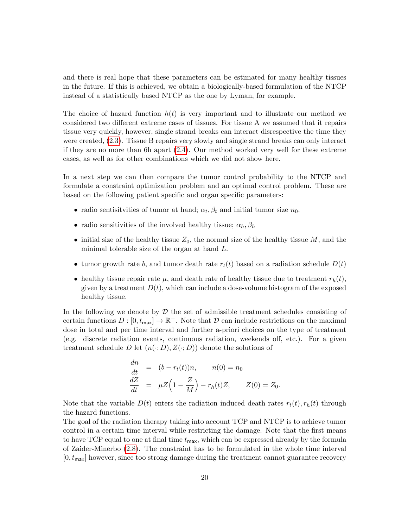and there is real hope that these parameters can be estimated for many healthy tissues in the future. If this is achieved, we obtain a biologically-based formulation of the NTCP instead of a statistically based NTCP as the one by Lyman, for example.

The choice of hazard function  $h(t)$  is very important and to illustrate our method we considered two different extreme cases of tissues. For tissue A we assumed that it repairs tissue very quickly, however, single strand breaks can interact disrespective the time they were created, [\(2.3\)](#page-3-0). Tissue B repairs very slowly and single strand breaks can only interact if they are no more than 6h apart [\(2.4\)](#page-3-0). Our method worked very well for these extreme cases, as well as for other combinations which we did not show here.

In a next step we can then compare the tumor control probability to the NTCP and formulate a constraint optimization problem and an optimal control problem. These are based on the following patient specific and organ specific parameters:

- radio sentisitvities of tumor at hand;  $\alpha_t, \beta_t$  and initial tumor size  $n_0$ .
- radio sensitivities of the involved healthy tissue;  $\alpha_h$ ,  $\beta_h$
- initial size of the healthy tissue  $Z_0$ , the normal size of the healthy tissue  $M$ , and the minimal tolerable size of the organ at hand L.
- tumor growth rate b, and tumor death rate  $r_t(t)$  based on a radiation schedule  $D(t)$
- healthy tissue repair rate  $\mu$ , and death rate of healthy tissue due to treatment  $r_h(t)$ , given by a treatment  $D(t)$ , which can include a dose-volume histogram of the exposed healthy tissue.

In the following we denote by  $\mathcal D$  the set of admissible treatment schedules consisting of certain functions  $D : [0, t_{\text{max}}] \to \mathbb{R}^+$ . Note that  $D$  can include restrictions on the maximal dose in total and per time interval and further a-priori choices on the type of treatment (e.g. discrete radiation events, continuous radiation, weekends off, etc.). For a given treatment schedule D let  $(n(\cdot; D), Z(\cdot; D))$  denote the solutions of

$$
\begin{array}{rcl}\n\frac{dn}{dt} & = & (b - r_t(t))n, \qquad n(0) = n_0 \\
\frac{dZ}{dt} & = & \mu Z\left(1 - \frac{Z}{M}\right) - r_h(t)Z, \qquad Z(0) = Z_0.\n\end{array}
$$

Note that the variable  $D(t)$  enters the radiation induced death rates  $r_t(t), r_h(t)$  through the hazard functions.

The goal of the radiation therapy taking into account TCP and NTCP is to achieve tumor control in a certain time interval while restricting the damage. Note that the first means to have TCP equal to one at final time  $t_{\text{max}}$ , which can be expressed already by the formula of Zaider-Minerbo [\(2.8\)](#page-5-2). The constraint has to be formulated in the whole time interval  $[0, t_{\text{max}}]$  however, since too strong damage during the treatment cannot guarantee recovery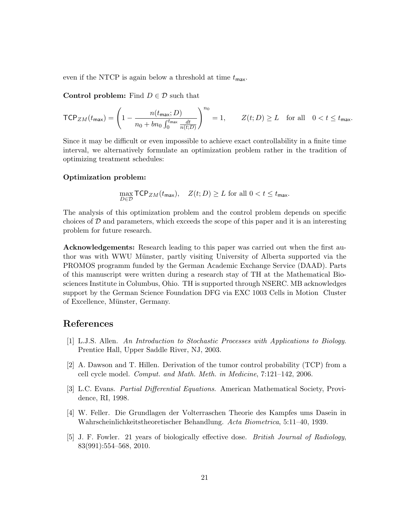even if the NTCP is again below a threshold at time  $t_{\text{max}}$ .

Control problem: Find  $D \in \mathcal{D}$  such that

$$
\mathsf{TCP}_{ZM}(t_{\mathsf{max}}) = \left(1 - \frac{n(t_{\mathsf{max}}; D)}{n_0 + bn_0 \int_0^{t_{\mathsf{max}}}\frac{dt}{n(t;D)}}\right)^{n_0} = 1, \qquad Z(t; D) \ge L \quad \text{for all} \quad 0 < t \le t_{\mathsf{max}}.
$$

Since it may be difficult or even impossible to achieve exact controllability in a finite time interval, we alternatively formulate an optimization problem rather in the tradition of optimizing treatment schedules:

### Optimization problem:

$$
\max_{D \in \mathcal{D}} \mathsf{TCP}_{ZM}(t_{\mathsf{max}}), \quad Z(t; D) \ge L \text{ for all } 0 < t \le t_{\mathsf{max}}.
$$

The analysis of this optimization problem and the control problem depends on specific choices of  $D$  and parameters, which exceeds the scope of this paper and it is an interesting problem for future research.

Acknowledgements: Research leading to this paper was carried out when the first author was with WWU Münster, partly visiting University of Alberta supported via the PROMOS programm funded by the German Academic Exchange Service (DAAD). Parts of this manuscript were written during a research stay of TH at the Mathematical Biosciences Institute in Columbus, Ohio. TH is supported through NSERC. MB acknowledges support by the German Science Foundation DFG via EXC 1003 Cells in Motion Cluster of Excellence, Münster, Germany.

# References

- <span id="page-20-1"></span>[1] L.J.S. Allen. An Introduction to Stochastic Processes with Applications to Biology. Prentice Hall, Upper Saddle River, NJ, 2003.
- <span id="page-20-2"></span>[2] A. Dawson and T. Hillen. Derivation of the tumor control probability (TCP) from a cell cycle model. Comput. and Math. Meth. in Medicine, 7:121–142, 2006.
- <span id="page-20-4"></span>[3] L.C. Evans. Partial Differential Equations. American Mathematical Society, Providence, RI, 1998.
- <span id="page-20-0"></span>[4] W. Feller. Die Grundlagen der Volterraschen Theorie des Kampfes ums Dasein in Wahrscheinlichkeitstheoretischer Behandlung. Acta Biometrica, 5:11–40, 1939.
- <span id="page-20-3"></span>[5] J. F. Fowler. 21 years of biologically effective dose. British Journal of Radiology, 83(991):554–568, 2010.